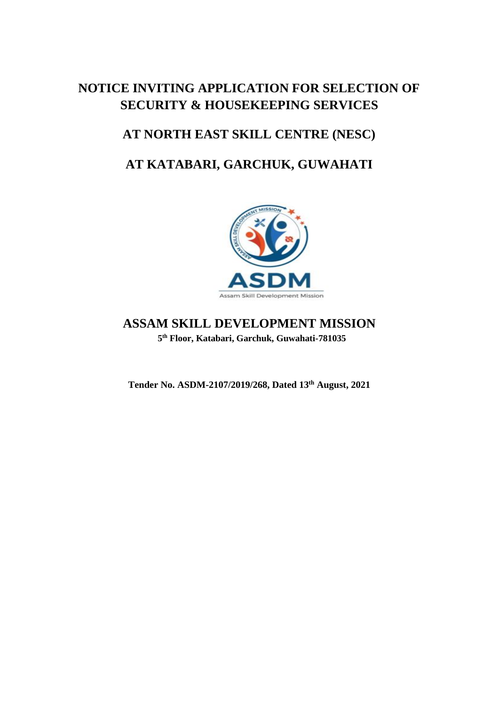# **NOTICE INVITING APPLICATION FOR SELECTION OF SECURITY & HOUSEKEEPING SERVICES**

# **AT NORTH EAST SKILL CENTRE (NESC)**

# **AT KATABARI, GARCHUK, GUWAHATI**



## **ASSAM SKILL DEVELOPMENT MISSION 5 th Floor, Katabari, Garchuk, Guwahati-781035**

**Tender No. ASDM-2107/2019/268, Dated 13 th August, 2021**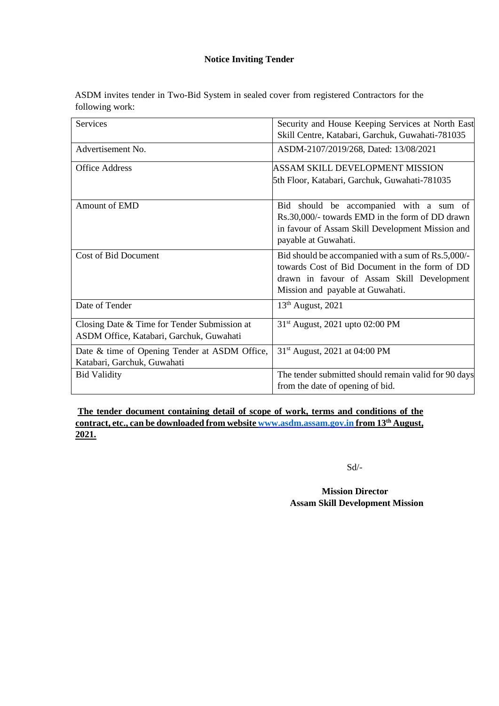#### **Notice Inviting Tender**

ASDM invites tender in Two-Bid System in sealed cover from registered Contractors for the following work:

| <b>Services</b>                               | Security and House Keeping Services at North East                                            |
|-----------------------------------------------|----------------------------------------------------------------------------------------------|
|                                               | Skill Centre, Katabari, Garchuk, Guwahati-781035                                             |
| Advertisement No.                             | ASDM-2107/2019/268, Dated: 13/08/2021                                                        |
| <b>Office Address</b>                         | ASSAM SKILL DEVELOPMENT MISSION                                                              |
|                                               | 5th Floor, Katabari, Garchuk, Guwahati-781035                                                |
| <b>Amount of EMD</b>                          | Bid should be accompanied with a sum of                                                      |
|                                               | Rs.30,000/- towards EMD in the form of DD drawn                                              |
|                                               | in favour of Assam Skill Development Mission and                                             |
|                                               | payable at Guwahati.                                                                         |
| <b>Cost of Bid Document</b>                   | Bid should be accompanied with a sum of Rs.5,000/-                                           |
|                                               | towards Cost of Bid Document in the form of DD<br>drawn in favour of Assam Skill Development |
|                                               | Mission and payable at Guwahati.                                                             |
| Date of Tender                                | $13th$ August, 2021                                                                          |
|                                               |                                                                                              |
| Closing Date & Time for Tender Submission at  | 31 <sup>st</sup> August, 2021 upto 02:00 PM                                                  |
| ASDM Office, Katabari, Garchuk, Guwahati      |                                                                                              |
| Date & time of Opening Tender at ASDM Office, | 31 <sup>st</sup> August, 2021 at 04:00 PM                                                    |
| Katabari, Garchuk, Guwahati                   |                                                                                              |
| <b>Bid Validity</b>                           | The tender submitted should remain valid for 90 days                                         |
|                                               | from the date of opening of bid.                                                             |

## **The tender document containing detail of scope of work, terms and conditions of the contract, etc., can be downloaded from website [www.asdm.assam.gov.in](http://www.asdm.assam.gov.in/) [f](http://www.iiitdm.ac.in/)rom 13 th August, 2021.**

Sd/-

**Mission Director Assam Skill Development Mission**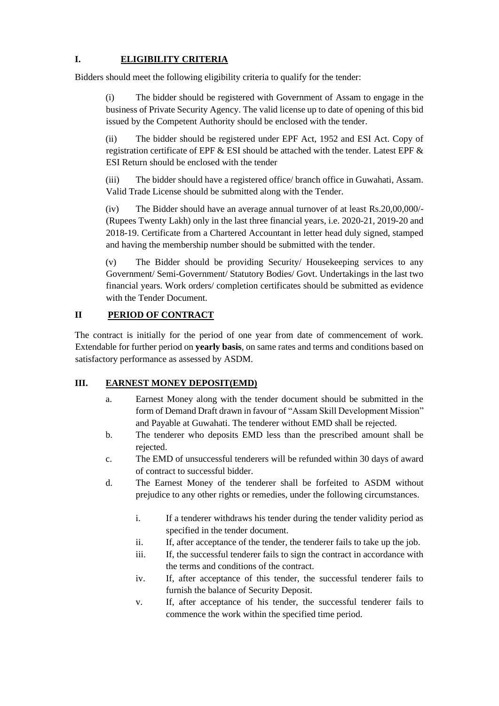## **I. ELIGIBILITY CRITERIA**

Bidders should meet the following eligibility criteria to qualify for the tender:

(i) The bidder should be registered with Government of Assam to engage in the business of Private Security Agency. The valid license up to date of opening of this bid issued by the Competent Authority should be enclosed with the tender.

(ii) The bidder should be registered under EPF Act, 1952 and ESI Act. Copy of registration certificate of EPF & ESI should be attached with the tender. Latest EPF & ESI Return should be enclosed with the tender

(iii) The bidder should have a registered office/ branch office in Guwahati, Assam. Valid Trade License should be submitted along with the Tender.

(iv) The Bidder should have an average annual turnover of at least Rs.20,00,000/- (Rupees Twenty Lakh) only in the last three financial years, i.e. 2020-21, 2019-20 and 2018-19. Certificate from a Chartered Accountant in letter head duly signed, stamped and having the membership number should be submitted with the tender.

(v) The Bidder should be providing Security/ Housekeeping services to any Government/ Semi-Government/ Statutory Bodies/ Govt. Undertakings in the last two financial years. Work orders/ completion certificates should be submitted as evidence with the Tender Document.

#### **II PERIOD OF CONTRACT**

The contract is initially for the period of one year from date of commencement of work. Extendable for further period on **yearly basis**, on same rates and terms and conditions based on satisfactory performance as assessed by ASDM.

#### **III. EARNEST MONEY DEPOSIT(EMD)**

- a. Earnest Money along with the tender document should be submitted in the form of Demand Draft drawn in favour of "Assam Skill Development Mission" and Payable at Guwahati. The tenderer without EMD shall be rejected.
- b. The tenderer who deposits EMD less than the prescribed amount shall be rejected.
- c. The EMD of unsuccessful tenderers will be refunded within 30 days of award of contract to successful bidder.
- d. The Earnest Money of the tenderer shall be forfeited to ASDM without prejudice to any other rights or remedies, under the following circumstances.
	- i. If a tenderer withdraws his tender during the tender validity period as specified in the tender document.
	- ii. If, after acceptance of the tender, the tenderer fails to take up the job.
	- iii. If, the successful tenderer fails to sign the contract in accordance with the terms and conditions of the contract.
	- iv. If, after acceptance of this tender, the successful tenderer fails to furnish the balance of Security Deposit.
	- v. If, after acceptance of his tender, the successful tenderer fails to commence the work within the specified time period.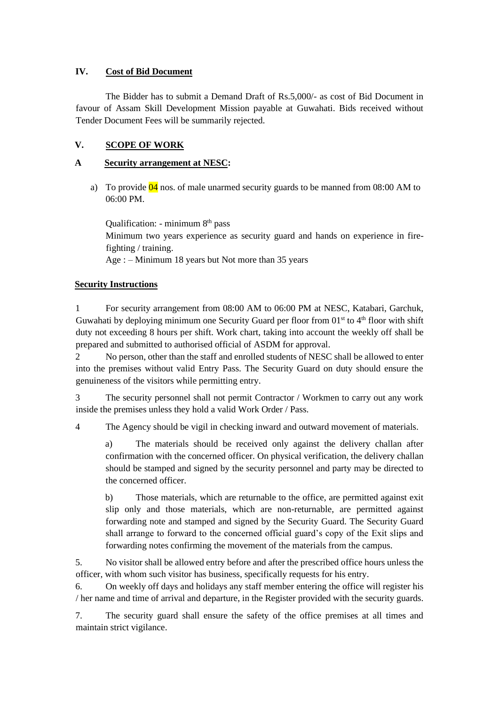#### **IV. Cost of Bid Document**

The Bidder has to submit a Demand Draft of Rs.5,000/- as cost of Bid Document in favour of Assam Skill Development Mission payable at Guwahati. Bids received without Tender Document Fees will be summarily rejected.

#### **V. SCOPE OF WORK**

#### **A Security arrangement at NESC:**

a) To provide  $\overline{04}$  nos. of male unarmed security guards to be manned from 08:00 AM to 06:00 PM.

Qualification: - minimum 8<sup>th</sup> pass Minimum two years experience as security guard and hands on experience in firefighting / training. Age : – Minimum 18 years but Not more than 35 years

#### **Security Instructions**

1 For security arrangement from 08:00 AM to 06:00 PM at NESC, Katabari, Garchuk, Guwahati by deploying minimum one Security Guard per floor from  $01<sup>st</sup>$  to  $4<sup>th</sup>$  floor with shift duty not exceeding 8 hours per shift. Work chart, taking into account the weekly off shall be prepared and submitted to authorised official of ASDM for approval.

2 No person, other than the staff and enrolled students of NESC shall be allowed to enter into the premises without valid Entry Pass. The Security Guard on duty should ensure the genuineness of the visitors while permitting entry.

3 The security personnel shall not permit Contractor / Workmen to carry out any work inside the premises unless they hold a valid Work Order / Pass.

4 The Agency should be vigil in checking inward and outward movement of materials.

a) The materials should be received only against the delivery challan after confirmation with the concerned officer. On physical verification, the delivery challan should be stamped and signed by the security personnel and party may be directed to the concerned officer.

b) Those materials, which are returnable to the office, are permitted against exit slip only and those materials, which are non-returnable, are permitted against forwarding note and stamped and signed by the Security Guard. The Security Guard shall arrange to forward to the concerned official guard's copy of the Exit slips and forwarding notes confirming the movement of the materials from the campus.

5. No visitor shall be allowed entry before and after the prescribed office hours unless the officer, with whom such visitor has business, specifically requests for his entry.

6. On weekly off days and holidays any staff member entering the office will register his / her name and time of arrival and departure, in the Register provided with the security guards.

7. The security guard shall ensure the safety of the office premises at all times and maintain strict vigilance.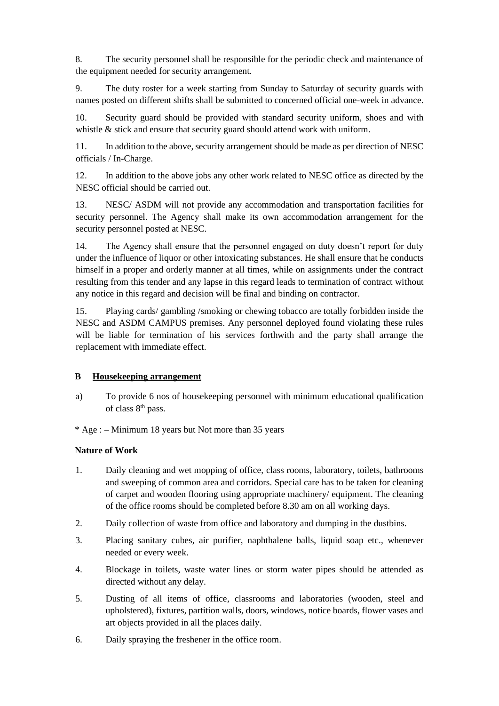8. The security personnel shall be responsible for the periodic check and maintenance of the equipment needed for security arrangement.

9. The duty roster for a week starting from Sunday to Saturday of security guards with names posted on different shifts shall be submitted to concerned official one-week in advance.

10. Security guard should be provided with standard security uniform, shoes and with whistle & stick and ensure that security guard should attend work with uniform.

11. In addition to the above, security arrangement should be made as per direction of NESC officials / In-Charge.

12. In addition to the above jobs any other work related to NESC office as directed by the NESC official should be carried out.

13. NESC/ ASDM will not provide any accommodation and transportation facilities for security personnel. The Agency shall make its own accommodation arrangement for the security personnel posted at NESC.

14. The Agency shall ensure that the personnel engaged on duty doesn't report for duty under the influence of liquor or other intoxicating substances. He shall ensure that he conducts himself in a proper and orderly manner at all times, while on assignments under the contract resulting from this tender and any lapse in this regard leads to termination of contract without any notice in this regard and decision will be final and binding on contractor.

15. Playing cards/ gambling /smoking or chewing tobacco are totally forbidden inside the NESC and ASDM CAMPUS premises. Any personnel deployed found violating these rules will be liable for termination of his services forthwith and the party shall arrange the replacement with immediate effect.

#### **B Housekeeping arrangement**

a) To provide 6 nos of housekeeping personnel with minimum educational qualification of class 8th pass.

\* Age : – Minimum 18 years but Not more than 35 years

#### **Nature of Work**

- 1. Daily cleaning and wet mopping of office, class rooms, laboratory, toilets, bathrooms and sweeping of common area and corridors. Special care has to be taken for cleaning of carpet and wooden flooring using appropriate machinery/ equipment. The cleaning of the office rooms should be completed before 8.30 am on all working days.
- 2. Daily collection of waste from office and laboratory and dumping in the dustbins.
- 3. Placing sanitary cubes, air purifier, naphthalene balls, liquid soap etc., whenever needed or every week.
- 4. Blockage in toilets, waste water lines or storm water pipes should be attended as directed without any delay.
- 5. Dusting of all items of office, classrooms and laboratories (wooden, steel and upholstered), fixtures, partition walls, doors, windows, notice boards, flower vases and art objects provided in all the places daily.
- 6. Daily spraying the freshener in the office room.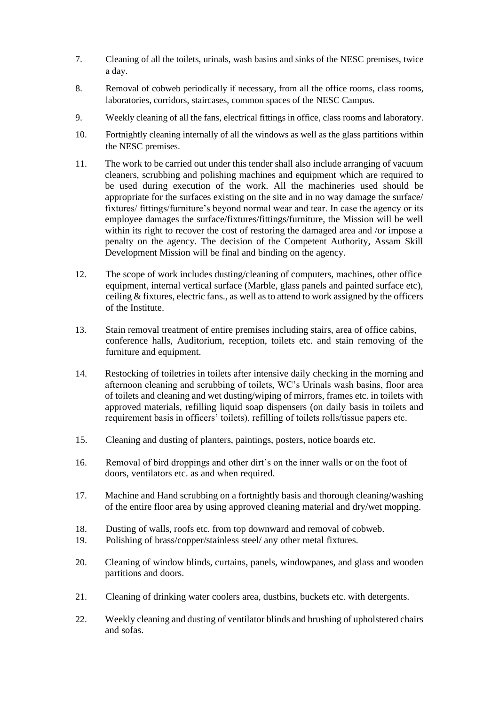- 7. Cleaning of all the toilets, urinals, wash basins and sinks of the NESC premises, twice a day.
- 8. Removal of cobweb periodically if necessary, from all the office rooms, class rooms, laboratories, corridors, staircases, common spaces of the NESC Campus.
- 9. Weekly cleaning of all the fans, electrical fittings in office, class rooms and laboratory.
- 10. Fortnightly cleaning internally of all the windows as well as the glass partitions within the NESC premises.
- 11. The work to be carried out under this tender shall also include arranging of vacuum cleaners, scrubbing and polishing machines and equipment which are required to be used during execution of the work. All the machineries used should be appropriate for the surfaces existing on the site and in no way damage the surface/ fixtures/ fittings/furniture's beyond normal wear and tear. In case the agency or its employee damages the surface/fixtures/fittings/furniture, the Mission will be well within its right to recover the cost of restoring the damaged area and /or impose a penalty on the agency. The decision of the Competent Authority, Assam Skill Development Mission will be final and binding on the agency.
- 12. The scope of work includes dusting/cleaning of computers, machines, other office equipment, internal vertical surface (Marble, glass panels and painted surface etc), ceiling & fixtures, electric fans., as well as to attend to work assigned by the officers of the Institute.
- 13. Stain removal treatment of entire premises including stairs, area of office cabins, conference halls, Auditorium, reception, toilets etc. and stain removing of the furniture and equipment.
- 14. Restocking of toiletries in toilets after intensive daily checking in the morning and afternoon cleaning and scrubbing of toilets, WC's Urinals wash basins, floor area of toilets and cleaning and wet dusting/wiping of mirrors, frames etc. in toilets with approved materials, refilling liquid soap dispensers (on daily basis in toilets and requirement basis in officers' toilets), refilling of toilets rolls/tissue papers etc.
- 15. Cleaning and dusting of planters, paintings, posters, notice boards etc.
- 16. Removal of bird droppings and other dirt's on the inner walls or on the foot of doors, ventilators etc. as and when required.
- 17. Machine and Hand scrubbing on a fortnightly basis and thorough cleaning/washing of the entire floor area by using approved cleaning material and dry/wet mopping.
- 18. Dusting of walls, roofs etc. from top downward and removal of cobweb.
- 19. Polishing of brass/copper/stainless steel/ any other metal fixtures.
- 20. Cleaning of window blinds, curtains, panels, windowpanes, and glass and wooden partitions and doors.
- 21. Cleaning of drinking water coolers area, dustbins, buckets etc. with detergents.
- 22. Weekly cleaning and dusting of ventilator blinds and brushing of upholstered chairs and sofas.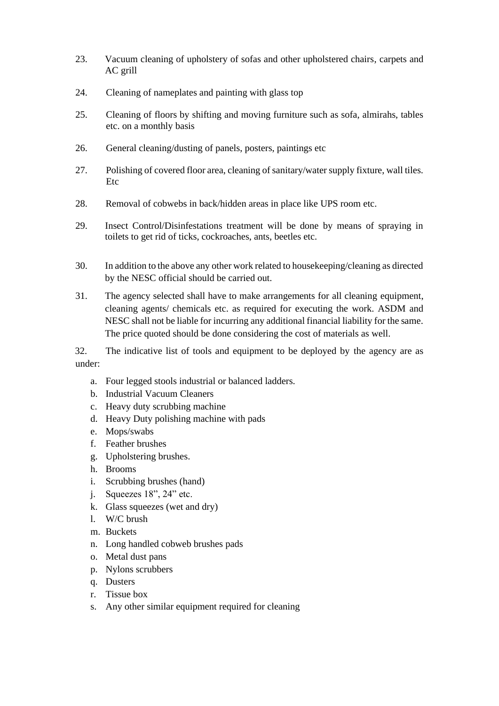- 23. Vacuum cleaning of upholstery of sofas and other upholstered chairs, carpets and AC grill
- 24. Cleaning of nameplates and painting with glass top
- 25. Cleaning of floors by shifting and moving furniture such as sofa, almirahs, tables etc. on a monthly basis
- 26. General cleaning/dusting of panels, posters, paintings etc
- 27. Polishing of covered floor area, cleaning of sanitary/water supply fixture, wall tiles. Etc
- 28. Removal of cobwebs in back/hidden areas in place like UPS room etc.
- 29. Insect Control/Disinfestations treatment will be done by means of spraying in toilets to get rid of ticks, cockroaches, ants, beetles etc.
- 30. In addition to the above any other work related to housekeeping/cleaning as directed by the NESC official should be carried out.
- 31. The agency selected shall have to make arrangements for all cleaning equipment, cleaning agents/ chemicals etc. as required for executing the work. ASDM and NESC shall not be liable for incurring any additional financial liability for the same. The price quoted should be done considering the cost of materials as well.

32. The indicative list of tools and equipment to be deployed by the agency are as under:

- a. Four legged stools industrial or balanced ladders.
- b. Industrial Vacuum Cleaners
- c. Heavy duty scrubbing machine
- d. Heavy Duty polishing machine with pads
- e. Mops/swabs
- f. Feather brushes
- g. Upholstering brushes.
- h. Brooms
- i. Scrubbing brushes (hand)
- j. Squeezes 18", 24" etc.
- k. Glass squeezes (wet and dry)
- l. W/C brush
- m. Buckets
- n. Long handled cobweb brushes pads
- o. Metal dust pans
- p. Nylons scrubbers
- q. Dusters
- r. Tissue box
- s. Any other similar equipment required for cleaning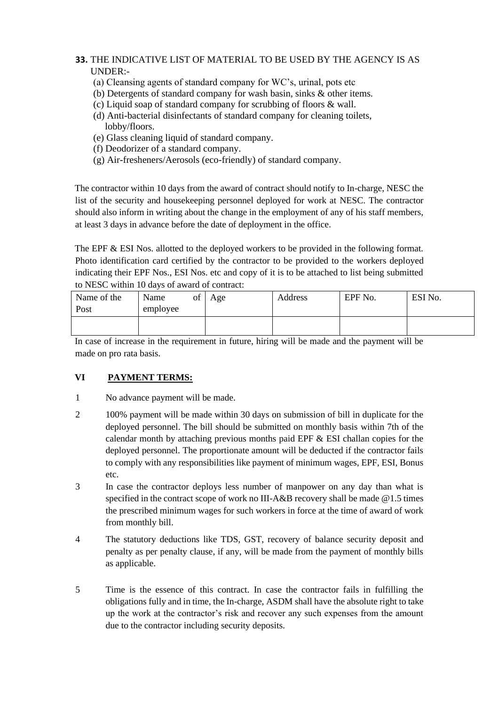## **33.** THE INDICATIVE LIST OF MATERIAL TO BE USED BY THE AGENCY IS AS UNDER:-

- (a) Cleansing agents of standard company for WC's, urinal, pots etc
- (b) Detergents of standard company for wash basin, sinks & other items.
- (c) Liquid soap of standard company for scrubbing of floors & wall.
- (d) Anti-bacterial disinfectants of standard company for cleaning toilets, lobby/floors.
- (e) Glass cleaning liquid of standard company.
- (f) Deodorizer of a standard company.
- (g) Air-fresheners/Aerosols (eco-friendly) of standard company.

The contractor within 10 days from the award of contract should notify to In-charge, NESC the list of the security and housekeeping personnel deployed for work at NESC. The contractor should also inform in writing about the change in the employment of any of his staff members, at least 3 days in advance before the date of deployment in the office.

The EPF & ESI Nos. allotted to the deployed workers to be provided in the following format. Photo identification card certified by the contractor to be provided to the workers deployed indicating their EPF Nos., ESI Nos. etc and copy of it is to be attached to list being submitted to NESC within 10 days of award of contract:

| Name<br>of | Age | Address | EPF No. | ESI No. |
|------------|-----|---------|---------|---------|
| employee   |     |         |         |         |
|            |     |         |         |         |
|            |     |         |         |         |

In case of increase in the requirement in future, hiring will be made and the payment will be made on pro rata basis.

#### **VI PAYMENT TERMS:**

- 1 No advance payment will be made.
- 2 100% payment will be made within 30 days on submission of bill in duplicate for the deployed personnel. The bill should be submitted on monthly basis within 7th of the calendar month by attaching previous months paid EPF & ESI challan copies for the deployed personnel. The proportionate amount will be deducted if the contractor fails to comply with any responsibilities like payment of minimum wages, EPF, ESI, Bonus etc.
- 3 In case the contractor deploys less number of manpower on any day than what is specified in the contract scope of work no III-A&B recovery shall be made @1.5 times the prescribed minimum wages for such workers in force at the time of award of work from monthly bill.
- 4 The statutory deductions like TDS, GST, recovery of balance security deposit and penalty as per penalty clause, if any, will be made from the payment of monthly bills as applicable.
- 5 Time is the essence of this contract. In case the contractor fails in fulfilling the obligations fully and in time, the In-charge, ASDM shall have the absolute right to take up the work at the contractor's risk and recover any such expenses from the amount due to the contractor including security deposits.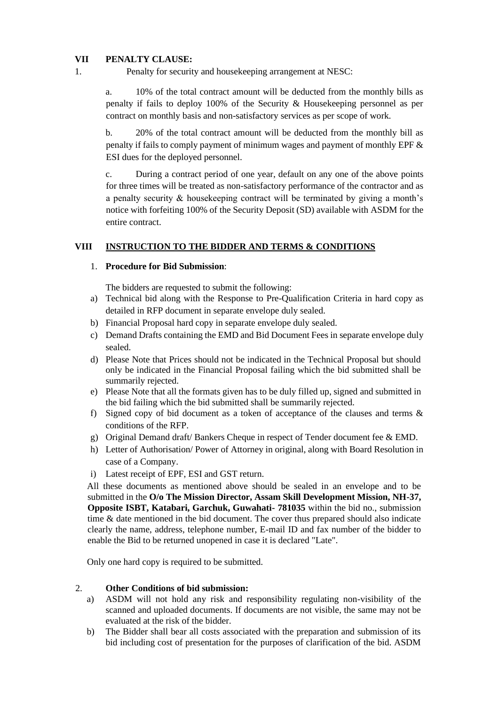#### **VII PENALTY CLAUSE:**

1. Penalty for security and housekeeping arrangement at NESC:

a. 10% of the total contract amount will be deducted from the monthly bills as penalty if fails to deploy 100% of the Security & Housekeeping personnel as per contract on monthly basis and non-satisfactory services as per scope of work.

b. 20% of the total contract amount will be deducted from the monthly bill as penalty if fails to comply payment of minimum wages and payment of monthly EPF & ESI dues for the deployed personnel.

c. During a contract period of one year, default on any one of the above points for three times will be treated as non-satisfactory performance of the contractor and as a penalty security & housekeeping contract will be terminated by giving a month's notice with forfeiting 100% of the Security Deposit (SD) available with ASDM for the entire contract.

#### **VIII INSTRUCTION TO THE BIDDER AND TERMS & CONDITIONS**

#### 1. **Procedure for Bid Submission**:

The bidders are requested to submit the following:

- a) Technical bid along with the Response to Pre-Qualification Criteria in hard copy as detailed in RFP document in separate envelope duly sealed.
- b) Financial Proposal hard copy in separate envelope duly sealed.
- c) Demand Drafts containing the EMD and Bid Document Fees in separate envelope duly sealed.
- d) Please Note that Prices should not be indicated in the Technical Proposal but should only be indicated in the Financial Proposal failing which the bid submitted shall be summarily rejected.
- e) Please Note that all the formats given has to be duly filled up, signed and submitted in the bid failing which the bid submitted shall be summarily rejected.
- f) Signed copy of bid document as a token of acceptance of the clauses and terms & conditions of the RFP.
- g) Original Demand draft/ Bankers Cheque in respect of Tender document fee & EMD.
- h) Letter of Authorisation/ Power of Attorney in original, along with Board Resolution in case of a Company.
- i) Latest receipt of EPF, ESI and GST return.

All these documents as mentioned above should be sealed in an envelope and to be submitted in the **O/o The Mission Director, Assam Skill Development Mission, NH-37, Opposite ISBT, Katabari, Garchuk, Guwahati- 781035** within the bid no., submission time & date mentioned in the bid document. The cover thus prepared should also indicate clearly the name, address, telephone number, E-mail ID and fax number of the bidder to enable the Bid to be returned unopened in case it is declared "Late".

Only one hard copy is required to be submitted.

#### 2. **Other Conditions of bid submission:**

- a) ASDM will not hold any risk and responsibility regulating non-visibility of the scanned and uploaded documents. If documents are not visible, the same may not be evaluated at the risk of the bidder.
- b) The Bidder shall bear all costs associated with the preparation and submission of its bid including cost of presentation for the purposes of clarification of the bid. ASDM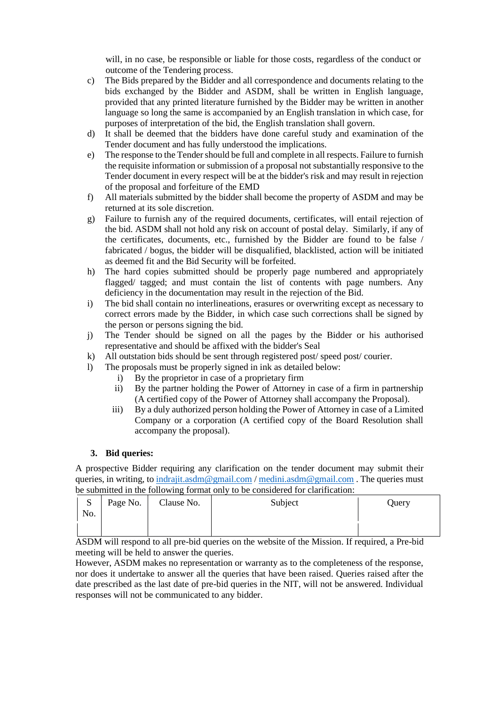will, in no case, be responsible or liable for those costs, regardless of the conduct or outcome of the Tendering process.

- c) The Bids prepared by the Bidder and all correspondence and documents relating to the bids exchanged by the Bidder and ASDM, shall be written in English language, provided that any printed literature furnished by the Bidder may be written in another language so long the same is accompanied by an English translation in which case, for purposes of interpretation of the bid, the English translation shall govern.
- d) It shall be deemed that the bidders have done careful study and examination of the Tender document and has fully understood the implications.
- e) The response to the Tender should be full and complete in all respects. Failure to furnish the requisite information or submission of a proposal not substantially responsive to the Tender document in every respect will be at the bidder's risk and may result in rejection of the proposal and forfeiture of the EMD
- f) All materials submitted by the bidder shall become the property of ASDM and may be returned at its sole discretion.
- g) Failure to furnish any of the required documents, certificates, will entail rejection of the bid. ASDM shall not hold any risk on account of postal delay. Similarly, if any of the certificates, documents, etc., furnished by the Bidder are found to be false / fabricated / bogus, the bidder will be disqualified, blacklisted, action will be initiated as deemed fit and the Bid Security will be forfeited.
- h) The hard copies submitted should be properly page numbered and appropriately flagged/ tagged; and must contain the list of contents with page numbers. Any deficiency in the documentation may result in the rejection of the Bid.
- i) The bid shall contain no interlineations, erasures or overwriting except as necessary to correct errors made by the Bidder, in which case such corrections shall be signed by the person or persons signing the bid.
- j) The Tender should be signed on all the pages by the Bidder or his authorised representative and should be affixed with the bidder's Seal
- k) All outstation bids should be sent through registered post/ speed post/ courier.
- l) The proposals must be properly signed in ink as detailed below:
	- i) By the proprietor in case of a proprietary firm
	- ii) By the partner holding the Power of Attorney in case of a firm in partnership (A certified copy of the Power of Attorney shall accompany the Proposal).
	- iii) By a duly authorized person holding the Power of Attorney in case of a Limited Company or a corporation (A certified copy of the Board Resolution shall accompany the proposal).

#### **3. Bid queries:**

A prospective Bidder requiring any clarification on the tender document may submit their queries, in writing, to [indrajit.asdm@gmail.com](mailto:indrajit.asdm@gmail.com) / [medini.asdm@gmail.com](mailto:medini.asdm@gmail.com) . The queries must be submitted in the following format only to be considered for clarification:

| P<br>No. | Page No. | Clause No. | Subject | Query |
|----------|----------|------------|---------|-------|
|          |          |            |         |       |

ASDM will respond to all pre-bid queries on the website of the Mission. If required, a Pre-bid meeting will be held to answer the queries.

However, ASDM makes no representation or warranty as to the completeness of the response, nor does it undertake to answer all the queries that have been raised. Queries raised after the date prescribed as the last date of pre-bid queries in the NIT, will not be answered. Individual responses will not be communicated to any bidder.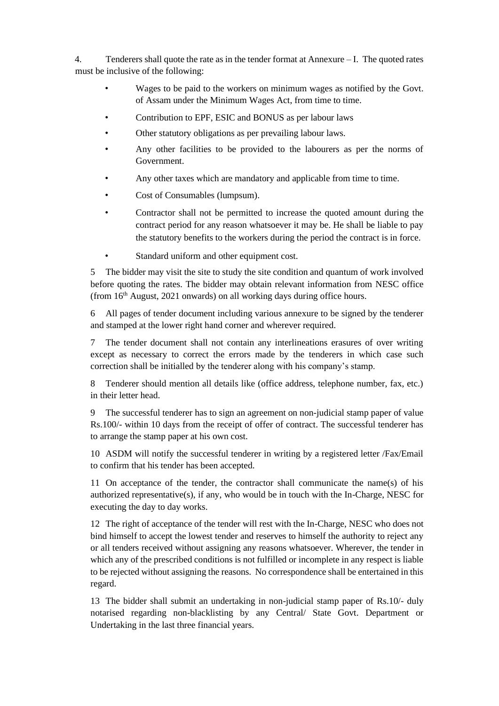4. Tenderers shall quote the rate as in the tender format at Annexure – I. The quoted rates must be inclusive of the following:

- Wages to be paid to the workers on minimum wages as notified by the Govt. of Assam under the Minimum Wages Act, from time to time.
- Contribution to EPF, ESIC and BONUS as per labour laws
- Other statutory obligations as per prevailing labour laws.
- Any other facilities to be provided to the labourers as per the norms of Government.
- Any other taxes which are mandatory and applicable from time to time.
- Cost of Consumables (lumpsum).
- Contractor shall not be permitted to increase the quoted amount during the contract period for any reason whatsoever it may be. He shall be liable to pay the statutory benefits to the workers during the period the contract is in force.
- Standard uniform and other equipment cost.

5 The bidder may visit the site to study the site condition and quantum of work involved before quoting the rates. The bidder may obtain relevant information from NESC office (from 16<sup>th</sup> August, 2021 onwards) on all working days during office hours.

6 All pages of tender document including various annexure to be signed by the tenderer and stamped at the lower right hand corner and wherever required.

7 The tender document shall not contain any interlineations erasures of over writing except as necessary to correct the errors made by the tenderers in which case such correction shall be initialled by the tenderer along with his company's stamp.

8 Tenderer should mention all details like (office address, telephone number, fax, etc.) in their letter head.

9 The successful tenderer has to sign an agreement on non-judicial stamp paper of value Rs.100/- within 10 days from the receipt of offer of contract. The successful tenderer has to arrange the stamp paper at his own cost.

10 ASDM will notify the successful tenderer in writing by a registered letter /Fax/Email to confirm that his tender has been accepted.

11 On acceptance of the tender, the contractor shall communicate the name(s) of his authorized representative(s), if any, who would be in touch with the In-Charge, NESC for executing the day to day works.

12 The right of acceptance of the tender will rest with the In-Charge, NESC who does not bind himself to accept the lowest tender and reserves to himself the authority to reject any or all tenders received without assigning any reasons whatsoever. Wherever, the tender in which any of the prescribed conditions is not fulfilled or incomplete in any respect is liable to be rejected without assigning the reasons. No correspondence shall be entertained in this regard.

13 The bidder shall submit an undertaking in non-judicial stamp paper of Rs.10/- duly notarised regarding non-blacklisting by any Central/ State Govt. Department or Undertaking in the last three financial years.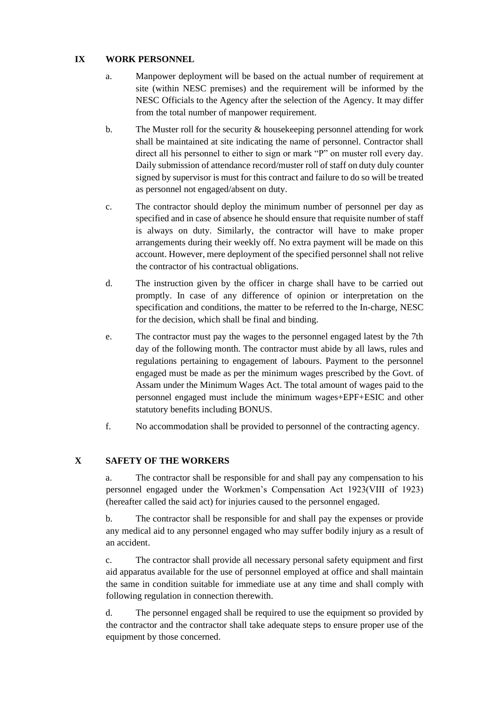#### **IX WORK PERSONNEL**

- a. Manpower deployment will be based on the actual number of requirement at site (within NESC premises) and the requirement will be informed by the NESC Officials to the Agency after the selection of the Agency. It may differ from the total number of manpower requirement.
- b. The Muster roll for the security  $\&$  house keeping personnel attending for work shall be maintained at site indicating the name of personnel. Contractor shall direct all his personnel to either to sign or mark "P" on muster roll every day. Daily submission of attendance record/muster roll of staff on duty duly counter signed by supervisor is must for this contract and failure to do so will be treated as personnel not engaged/absent on duty.
- c. The contractor should deploy the minimum number of personnel per day as specified and in case of absence he should ensure that requisite number of staff is always on duty. Similarly, the contractor will have to make proper arrangements during their weekly off. No extra payment will be made on this account. However, mere deployment of the specified personnel shall not relive the contractor of his contractual obligations.
- d. The instruction given by the officer in charge shall have to be carried out promptly. In case of any difference of opinion or interpretation on the specification and conditions, the matter to be referred to the In-charge, NESC for the decision, which shall be final and binding.
- e. The contractor must pay the wages to the personnel engaged latest by the 7th day of the following month. The contractor must abide by all laws, rules and regulations pertaining to engagement of labours. Payment to the personnel engaged must be made as per the minimum wages prescribed by the Govt. of Assam under the Minimum Wages Act. The total amount of wages paid to the personnel engaged must include the minimum wages+EPF+ESIC and other statutory benefits including BONUS.
- f. No accommodation shall be provided to personnel of the contracting agency.

#### **X SAFETY OF THE WORKERS**

a. The contractor shall be responsible for and shall pay any compensation to his personnel engaged under the Workmen's Compensation Act 1923(VIII of 1923) (hereafter called the said act) for injuries caused to the personnel engaged.

b. The contractor shall be responsible for and shall pay the expenses or provide any medical aid to any personnel engaged who may suffer bodily injury as a result of an accident.

c. The contractor shall provide all necessary personal safety equipment and first aid apparatus available for the use of personnel employed at office and shall maintain the same in condition suitable for immediate use at any time and shall comply with following regulation in connection therewith.

d. The personnel engaged shall be required to use the equipment so provided by the contractor and the contractor shall take adequate steps to ensure proper use of the equipment by those concerned.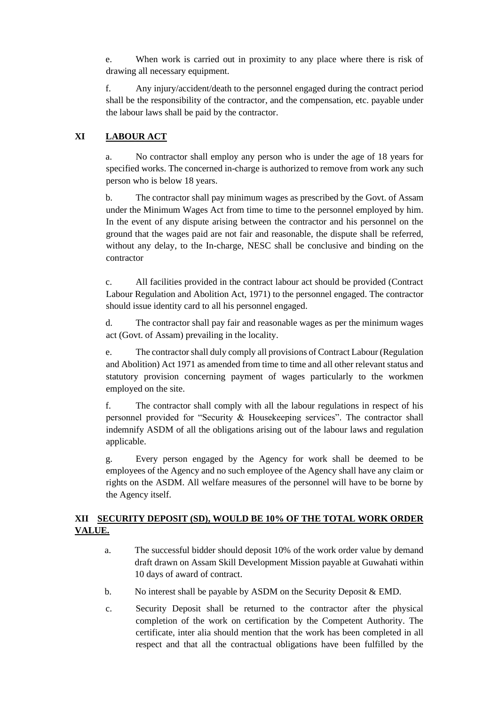e. When work is carried out in proximity to any place where there is risk of drawing all necessary equipment.

f. Any injury/accident/death to the personnel engaged during the contract period shall be the responsibility of the contractor, and the compensation, etc. payable under the labour laws shall be paid by the contractor.

#### **XI LABOUR ACT**

a. No contractor shall employ any person who is under the age of 18 years for specified works. The concerned in-charge is authorized to remove from work any such person who is below 18 years.

b. The contractor shall pay minimum wages as prescribed by the Govt. of Assam under the Minimum Wages Act from time to time to the personnel employed by him. In the event of any dispute arising between the contractor and his personnel on the ground that the wages paid are not fair and reasonable, the dispute shall be referred, without any delay, to the In-charge, NESC shall be conclusive and binding on the contractor

c. All facilities provided in the contract labour act should be provided (Contract Labour Regulation and Abolition Act, 1971) to the personnel engaged. The contractor should issue identity card to all his personnel engaged.

d. The contractor shall pay fair and reasonable wages as per the minimum wages act (Govt. of Assam) prevailing in the locality.

e. The contractor shall duly comply all provisions of Contract Labour (Regulation and Abolition) Act 1971 as amended from time to time and all other relevant status and statutory provision concerning payment of wages particularly to the workmen employed on the site.

f. The contractor shall comply with all the labour regulations in respect of his personnel provided for "Security & Housekeeping services". The contractor shall indemnify ASDM of all the obligations arising out of the labour laws and regulation applicable.

g. Every person engaged by the Agency for work shall be deemed to be employees of the Agency and no such employee of the Agency shall have any claim or rights on the ASDM. All welfare measures of the personnel will have to be borne by the Agency itself.

#### **XII SECURITY DEPOSIT (SD), WOULD BE 10% OF THE TOTAL WORK ORDER VALUE.**

- a. The successful bidder should deposit 10% of the work order value by demand draft drawn on Assam Skill Development Mission payable at Guwahati within 10 days of award of contract.
- b. No interest shall be payable by ASDM on the Security Deposit & EMD.
- c. Security Deposit shall be returned to the contractor after the physical completion of the work on certification by the Competent Authority. The certificate, inter alia should mention that the work has been completed in all respect and that all the contractual obligations have been fulfilled by the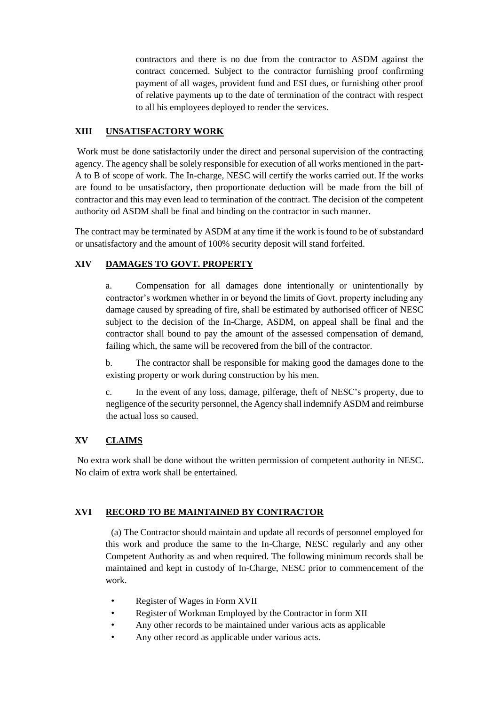contractors and there is no due from the contractor to ASDM against the contract concerned. Subject to the contractor furnishing proof confirming payment of all wages, provident fund and ESI dues, or furnishing other proof of relative payments up to the date of termination of the contract with respect to all his employees deployed to render the services.

#### **XIII UNSATISFACTORY WORK**

Work must be done satisfactorily under the direct and personal supervision of the contracting agency. The agency shall be solely responsible for execution of all works mentioned in the part-A to B of scope of work. The In-charge, NESC will certify the works carried out. If the works are found to be unsatisfactory, then proportionate deduction will be made from the bill of contractor and this may even lead to termination of the contract. The decision of the competent authority od ASDM shall be final and binding on the contractor in such manner.

The contract may be terminated by ASDM at any time if the work is found to be of substandard or unsatisfactory and the amount of 100% security deposit will stand forfeited.

#### **XIV DAMAGES TO GOVT. PROPERTY**

a. Compensation for all damages done intentionally or unintentionally by contractor's workmen whether in or beyond the limits of Govt. property including any damage caused by spreading of fire, shall be estimated by authorised officer of NESC subject to the decision of the In-Charge, ASDM, on appeal shall be final and the contractor shall bound to pay the amount of the assessed compensation of demand, failing which, the same will be recovered from the bill of the contractor.

b. The contractor shall be responsible for making good the damages done to the existing property or work during construction by his men.

c. In the event of any loss, damage, pilferage, theft of NESC's property, due to negligence of the security personnel, the Agency shall indemnify ASDM and reimburse the actual loss so caused.

#### **XV CLAIMS**

No extra work shall be done without the written permission of competent authority in NESC. No claim of extra work shall be entertained.

#### **XVI RECORD TO BE MAINTAINED BY CONTRACTOR**

(a) The Contractor should maintain and update all records of personnel employed for this work and produce the same to the In-Charge, NESC regularly and any other Competent Authority as and when required. The following minimum records shall be maintained and kept in custody of In-Charge, NESC prior to commencement of the work.

- Register of Wages in Form XVII
- Register of Workman Employed by the Contractor in form XII
- Any other records to be maintained under various acts as applicable
- Any other record as applicable under various acts.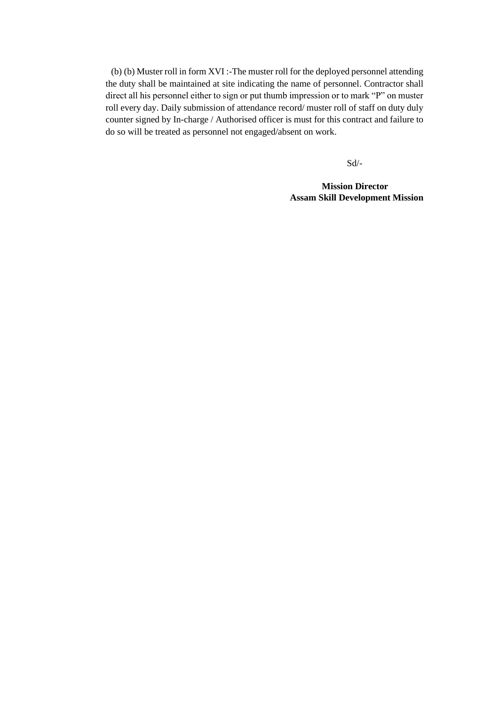(b) (b) Muster roll in form XVI :-The muster roll for the deployed personnel attending the duty shall be maintained at site indicating the name of personnel. Contractor shall direct all his personnel either to sign or put thumb impression or to mark "P" on muster roll every day. Daily submission of attendance record/ muster roll of staff on duty duly counter signed by In-charge / Authorised officer is must for this contract and failure to do so will be treated as personnel not engaged/absent on work.

Sd/-

**Mission Director Assam Skill Development Mission**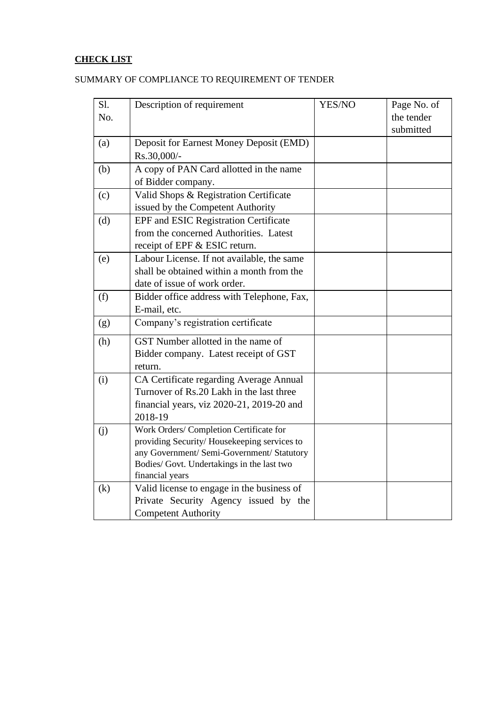## **CHECK LIST**

| Sl. | Description of requirement                                                                                                                                                                            | YES/NO | Page No. of             |
|-----|-------------------------------------------------------------------------------------------------------------------------------------------------------------------------------------------------------|--------|-------------------------|
| No. |                                                                                                                                                                                                       |        | the tender<br>submitted |
| (a) | Deposit for Earnest Money Deposit (EMD)<br>Rs.30,000/-                                                                                                                                                |        |                         |
| (b) | A copy of PAN Card allotted in the name<br>of Bidder company.                                                                                                                                         |        |                         |
| (c) | Valid Shops & Registration Certificate<br>issued by the Competent Authority                                                                                                                           |        |                         |
| (d) | <b>EPF</b> and <b>ESIC</b> Registration Certificate<br>from the concerned Authorities. Latest<br>receipt of EPF & ESIC return.                                                                        |        |                         |
| (e) | Labour License. If not available, the same<br>shall be obtained within a month from the<br>date of issue of work order.                                                                               |        |                         |
| (f) | Bidder office address with Telephone, Fax,<br>E-mail, etc.                                                                                                                                            |        |                         |
| (g) | Company's registration certificate                                                                                                                                                                    |        |                         |
| (h) | GST Number allotted in the name of<br>Bidder company. Latest receipt of GST<br>return.                                                                                                                |        |                         |
| (i) | CA Certificate regarding Average Annual<br>Turnover of Rs.20 Lakh in the last three<br>financial years, viz 2020-21, 2019-20 and<br>2018-19                                                           |        |                         |
| (i) | Work Orders/ Completion Certificate for<br>providing Security/Housekeeping services to<br>any Government/ Semi-Government/ Statutory<br>Bodies/ Govt. Undertakings in the last two<br>financial years |        |                         |
| (k) | Valid license to engage in the business of<br>Private Security Agency issued by the<br><b>Competent Authority</b>                                                                                     |        |                         |

## SUMMARY OF COMPLIANCE TO REQUIREMENT OF TENDER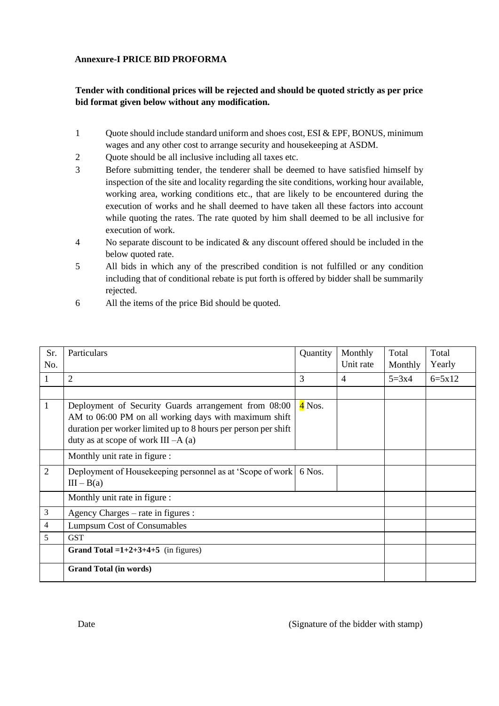#### **Annexure-I PRICE BID PROFORMA**

#### **Tender with conditional prices will be rejected and should be quoted strictly as per price bid format given below without any modification.**

- 1 Quote should include standard uniform and shoes cost, ESI & EPF, BONUS, minimum wages and any other cost to arrange security and housekeeping at ASDM.
- 2 Quote should be all inclusive including all taxes etc.
- 3 Before submitting tender, the tenderer shall be deemed to have satisfied himself by inspection of the site and locality regarding the site conditions, working hour available, working area, working conditions etc., that are likely to be encountered during the execution of works and he shall deemed to have taken all these factors into account while quoting the rates. The rate quoted by him shall deemed to be all inclusive for execution of work.
- 4 No separate discount to be indicated & any discount offered should be included in the below quoted rate.
- 5 All bids in which any of the prescribed condition is not fulfilled or any condition including that of conditional rebate is put forth is offered by bidder shall be summarily rejected.
- 6 All the items of the price Bid should be quoted.

| Sr.            | Particulars                                                                                                                                                                                                               | Quantity | Monthly   | Total   | Total             |
|----------------|---------------------------------------------------------------------------------------------------------------------------------------------------------------------------------------------------------------------------|----------|-----------|---------|-------------------|
| No.            |                                                                                                                                                                                                                           |          | Unit rate | Monthly | Yearly            |
| 1              | 2                                                                                                                                                                                                                         | 3        | 4         | $5=3x4$ | $6 = 5 \times 12$ |
|                |                                                                                                                                                                                                                           |          |           |         |                   |
| 1              | Deployment of Security Guards arrangement from 08:00<br>AM to 06:00 PM on all working days with maximum shift<br>duration per worker limited up to 8 hours per person per shift<br>duty as at scope of work $III - A$ (a) | $4$ Nos. |           |         |                   |
|                | Monthly unit rate in figure :                                                                                                                                                                                             |          |           |         |                   |
| $\overline{2}$ | Deployment of Housekeeping personnel as at 'Scope of work<br>$III - B(a)$                                                                                                                                                 | 6 Nos.   |           |         |                   |
|                | Monthly unit rate in figure :                                                                                                                                                                                             |          |           |         |                   |
| 3              | Agency Charges – rate in figures :                                                                                                                                                                                        |          |           |         |                   |
| 4              | <b>Lumpsum Cost of Consumables</b>                                                                                                                                                                                        |          |           |         |                   |
| 5              | <b>GST</b>                                                                                                                                                                                                                |          |           |         |                   |
|                | Grand Total = $1+2+3+4+5$ (in figures)                                                                                                                                                                                    |          |           |         |                   |
|                | <b>Grand Total (in words)</b>                                                                                                                                                                                             |          |           |         |                   |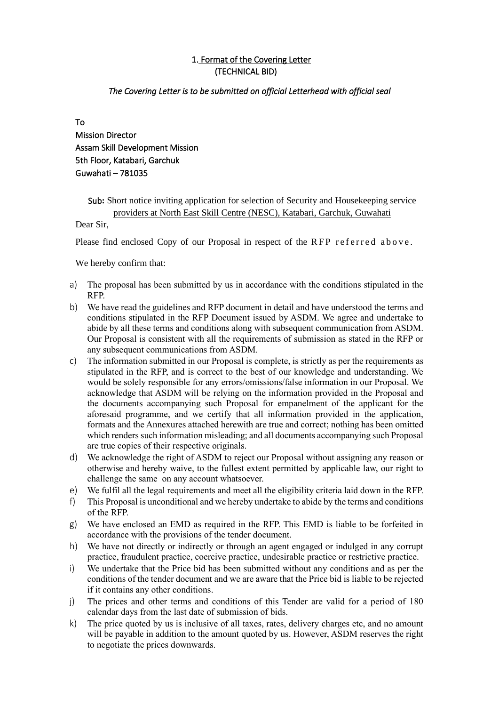## 1. Format of the Covering Letter (TECHNICAL BID)

#### *The Covering Letter is to be submitted on official Letterhead with official seal*

To Mission Director Assam Skill Development Mission 5th Floor, Katabari, Garchuk Guwahati – 781035

#### Sub: Short notice inviting application for selection of Security and Housekeeping service providers at North East Skill Centre (NESC), Katabari, Garchuk, Guwahati

Dear Sir,

Please find enclosed Copy of our Proposal in respect of the RFP referred above.

We hereby confirm that:

- a) The proposal has been submitted by us in accordance with the conditions stipulated in the RFP.
- b) We have read the guidelines and RFP document in detail and have understood the terms and conditions stipulated in the RFP Document issued by ASDM. We agree and undertake to abide by all these terms and conditions along with subsequent communication from ASDM. Our Proposal is consistent with all the requirements of submission as stated in the RFP or any subsequent communications from ASDM.
- c) The information submitted in our Proposal is complete, is strictly as per the requirements as stipulated in the RFP, and is correct to the best of our knowledge and understanding. We would be solely responsible for any errors/omissions/false information in our Proposal. We acknowledge that ASDM will be relying on the information provided in the Proposal and the documents accompanying such Proposal for empanelment of the applicant for the aforesaid programme, and we certify that all information provided in the application, formats and the Annexures attached herewith are true and correct; nothing has been omitted which renders such information misleading; and all documents accompanying such Proposal are true copies of their respective originals.
- d) We acknowledge the right of ASDM to reject our Proposal without assigning any reason or otherwise and hereby waive, to the fullest extent permitted by applicable law, our right to challenge the same on any account whatsoever.
- e) We fulfil all the legal requirements and meet all the eligibility criteria laid down in the RFP.
- f) This Proposal is unconditional and we hereby undertake to abide by the terms and conditions of the RFP.
- g) We have enclosed an EMD as required in the RFP. This EMD is liable to be forfeited in accordance with the provisions of the tender document.
- h) We have not directly or indirectly or through an agent engaged or indulged in any corrupt practice, fraudulent practice, coercive practice, undesirable practice or restrictive practice.
- i) We undertake that the Price bid has been submitted without any conditions and as per the conditions of the tender document and we are aware that the Price bid is liable to be rejected if it contains any other conditions.
- j) The prices and other terms and conditions of this Tender are valid for a period of 180 calendar days from the last date of submission of bids.
- k) The price quoted by us is inclusive of all taxes, rates, delivery charges etc, and no amount will be payable in addition to the amount quoted by us. However, ASDM reserves the right to negotiate the prices downwards.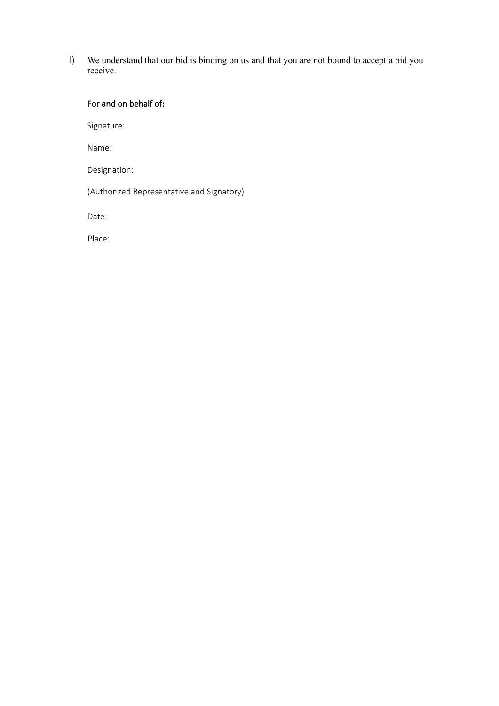l) We understand that our bid is binding on us and that you are not bound to accept a bid you receive.

## For and on behalf of:

Signature:

Name:

Designation:

(Authorized Representative and Signatory)

Date:

Place: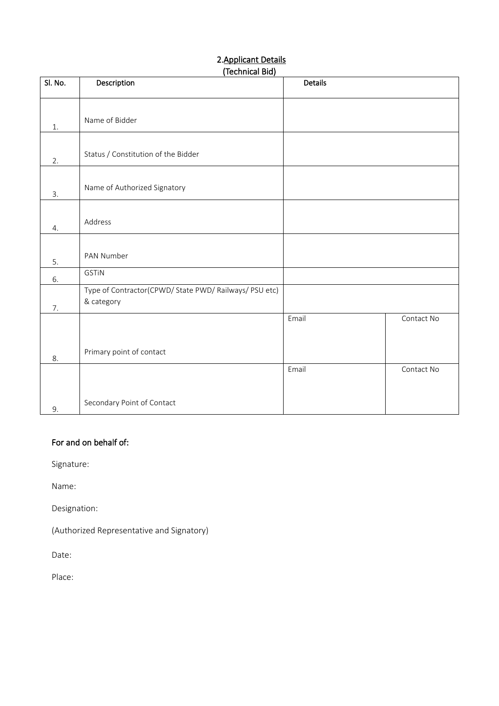# 2.Applicant Details

|         | (Technical Bid)                                        |         |            |  |  |  |
|---------|--------------------------------------------------------|---------|------------|--|--|--|
| Sl. No. | Description                                            | Details |            |  |  |  |
|         |                                                        |         |            |  |  |  |
|         |                                                        |         |            |  |  |  |
|         | Name of Bidder                                         |         |            |  |  |  |
| $1.$    |                                                        |         |            |  |  |  |
|         |                                                        |         |            |  |  |  |
|         | Status / Constitution of the Bidder                    |         |            |  |  |  |
| 2.      |                                                        |         |            |  |  |  |
|         |                                                        |         |            |  |  |  |
| 3.      | Name of Authorized Signatory                           |         |            |  |  |  |
|         |                                                        |         |            |  |  |  |
|         |                                                        |         |            |  |  |  |
| 4.      | Address                                                |         |            |  |  |  |
|         |                                                        |         |            |  |  |  |
|         |                                                        |         |            |  |  |  |
| 5.      | PAN Number                                             |         |            |  |  |  |
|         | <b>GSTIN</b>                                           |         |            |  |  |  |
| 6.      | Type of Contractor(CPWD/ State PWD/ Railways/ PSU etc) |         |            |  |  |  |
|         | & category                                             |         |            |  |  |  |
| 7.      |                                                        |         |            |  |  |  |
|         |                                                        | Email   | Contact No |  |  |  |
|         |                                                        |         |            |  |  |  |
|         |                                                        |         |            |  |  |  |
| 8.      | Primary point of contact                               |         |            |  |  |  |
|         |                                                        | Email   | Contact No |  |  |  |
|         |                                                        |         |            |  |  |  |
|         |                                                        |         |            |  |  |  |
|         | Secondary Point of Contact                             |         |            |  |  |  |
| 9.      |                                                        |         |            |  |  |  |

## For and on behalf of:

Signature:

Name:

Designation:

(Authorized Representative and Signatory)

Date:

Place: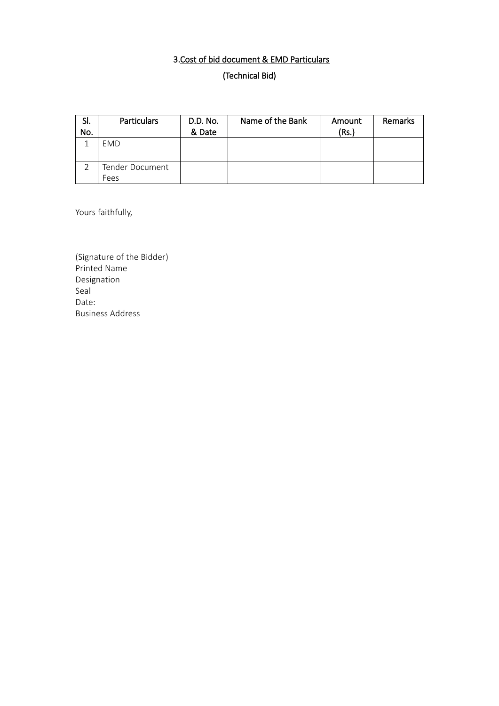# 3.Cost of bid document & EMD Particulars

(Technical Bid)

| SI. | <b>Particulars</b> | D.D. No. | Name of the Bank | Amount | <b>Remarks</b> |
|-----|--------------------|----------|------------------|--------|----------------|
| No. |                    | & Date   |                  | (Rs.)  |                |
|     | EMD                |          |                  |        |                |
|     | Tender Document    |          |                  |        |                |
|     | Fees               |          |                  |        |                |

Yours faithfully,

(Signature of the Bidder) Printed Name Designation Seal Date: Business Address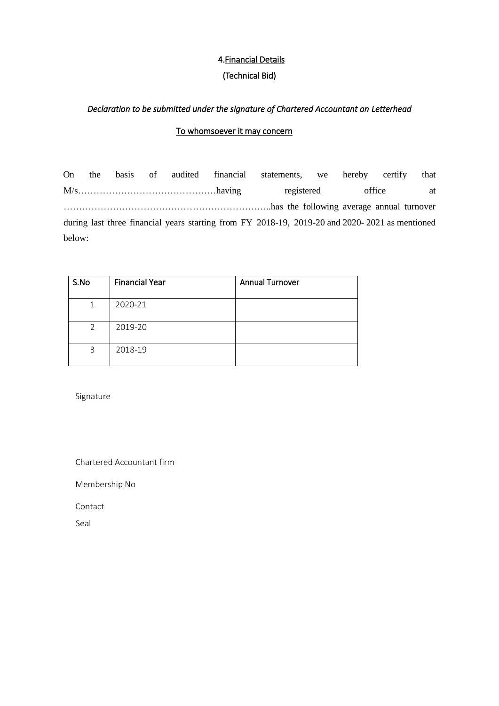## 4.Financial Details (Technical Bid)

#### *Declaration to be submitted under the signature of Chartered Accountant on Letterhead*

#### To whomsoever it may concern

On the basis of audited financial statements, we hereby certify that M/s………………………………………having registered office at …………………………………………………………..has the following average annual turnover during last three financial years starting from FY 2018-19, 2019-20 and 2020- 2021 as mentioned below:

| S.No        | <b>Financial Year</b> | <b>Annual Turnover</b> |
|-------------|-----------------------|------------------------|
| $\mathbf 1$ | 2020-21               |                        |
| 2           | 2019-20               |                        |
| 3           | 2018-19               |                        |

Signature

Chartered Accountant firm

Membership No

Contact

Seal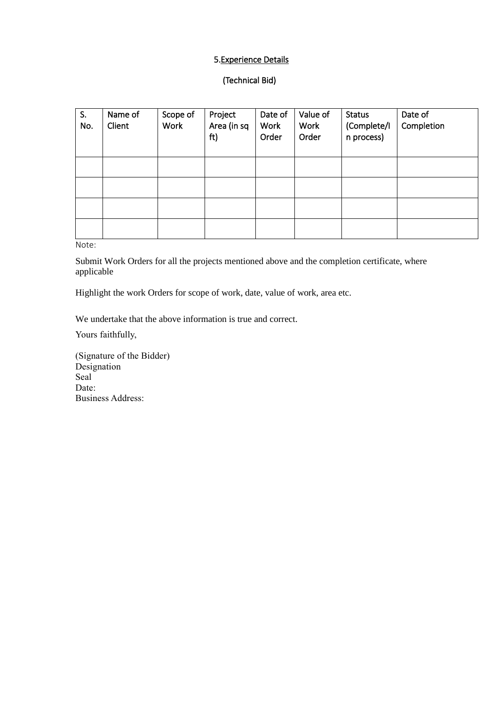#### 5.Experience Details

#### (Technical Bid)

| S.<br>No. | Name of<br>Client | Scope of<br><b>Work</b> | Project<br>Area (in sq<br>ft) | Date of<br><b>Work</b><br>Order | Value of<br>Work<br>Order | <b>Status</b><br>(Complete/I<br>n process) | Date of<br>Completion |
|-----------|-------------------|-------------------------|-------------------------------|---------------------------------|---------------------------|--------------------------------------------|-----------------------|
|           |                   |                         |                               |                                 |                           |                                            |                       |
|           |                   |                         |                               |                                 |                           |                                            |                       |
|           |                   |                         |                               |                                 |                           |                                            |                       |
|           |                   |                         |                               |                                 |                           |                                            |                       |

Note:

Submit Work Orders for all the projects mentioned above and the completion certificate, where applicable

Highlight the work Orders for scope of work, date, value of work, area etc.

We undertake that the above information is true and correct.

Yours faithfully,

(Signature of the Bidder) Designation Seal Date: Business Address: